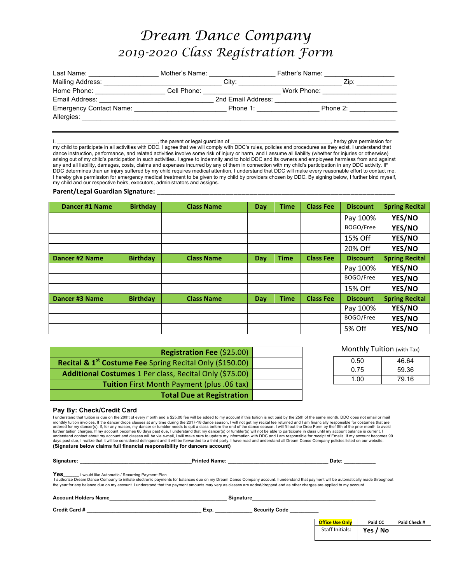## *Dream Dance Company 2019-2020 Class Registration Form*

| Last Name:                                                                                                                                                                                                                     | Mother's Name: |                    | Father's Name: |                                     |
|--------------------------------------------------------------------------------------------------------------------------------------------------------------------------------------------------------------------------------|----------------|--------------------|----------------|-------------------------------------|
| Mailing Address:                                                                                                                                                                                                               |                |                    |                | Zip:                                |
| Home Phone: New York Phone State State State State State State State State State State State State State State State State State State State State State State State State State State State State State State State State Sta |                |                    |                | Work Phone: North States and States |
| Email Address:                                                                                                                                                                                                                 |                | 2nd Email Address: |                |                                     |
| Emergency Contact Name:                                                                                                                                                                                                        |                | Phone 1:           |                | Phone 2:                            |
| Allergies:                                                                                                                                                                                                                     |                |                    |                |                                     |

I, \_\_\_\_\_\_\_\_\_\_\_\_\_\_\_\_\_\_\_\_\_\_\_\_\_\_\_\_\_\_\_\_\_\_\_, the parent or legal guardian of \_\_\_\_\_\_\_\_\_\_\_\_\_\_\_\_\_\_\_\_\_\_\_\_\_\_\_\_\_\_\_\_\_\_\_, herby give permission for my child to participate in all activities with DDC. I agree that we will comply with DDC's rules, policies and procedures as they exist. I understand that dance instruction, performance, and related activities involve some risk of injury or harm, and I assume all liability (whether for injuries or otherwise) arising out of my child's participation in such activities. I agree to indemnity and to hold DDC and its owners and employees harmless from and against any and all liability, damages, costs, claims and expenses incurred by any of them in connection with my child's participation in any DDC activity. IF DDC determines than an injury suffered by my child requires medical attention, I understand that DDC will make every reasonable effort to contact me. I hereby give permission for emergency medical treatment to be given to my child by providers chosen by DDC. By signing below, I further bind myself, my child and our respective heirs, executors, administrators and assigns.

## Parent/Legal Guardian Signature:

| Dancer #1 Name        | <b>Birthday</b> | <b>Class Name</b> | Day | <b>Time</b> | <b>Class Fee</b> | <b>Discount</b> | <b>Spring Recital</b> |
|-----------------------|-----------------|-------------------|-----|-------------|------------------|-----------------|-----------------------|
|                       |                 |                   |     |             |                  | Pay 100%        | YES/NO                |
|                       |                 |                   |     |             |                  | BOGO/Free       | YES/NO                |
|                       |                 |                   |     |             |                  | 15% Off         | YES/NO                |
|                       |                 |                   |     |             |                  | 20% Off         | YES/NO                |
| <b>Dancer #2 Name</b> | <b>Birthday</b> | <b>Class Name</b> | Day | <b>Time</b> | <b>Class Fee</b> | <b>Discount</b> | <b>Spring Recital</b> |
|                       |                 |                   |     |             |                  | Pay 100%        | YES/NO                |
|                       |                 |                   |     |             |                  | BOGO/Free       | YES/NO                |
|                       |                 |                   |     |             |                  | 15% Off         | YES/NO                |
| Dancer #3 Name        | <b>Birthday</b> | <b>Class Name</b> | Day | <b>Time</b> | <b>Class Fee</b> | <b>Discount</b> | <b>Spring Recital</b> |
|                       |                 |                   |     |             |                  | Pay 100%        | YES/NO                |
|                       |                 |                   |     |             |                  | BOGO/Free       | YES/NO                |
|                       |                 |                   |     |             |                  | 5% Off          | YES/NO                |

| Registration Fee (\$25.00)                                           |  |
|----------------------------------------------------------------------|--|
| Recital & 1 <sup>st</sup> Costume Fee Spring Recital Only (\$150.00) |  |
| Additional Costumes 1 Per class, Recital Only (\$75.00)              |  |
| <b>Tuition</b> First Month Payment (plus .06 tax)                    |  |
| <b>Total Due at Registration</b>                                     |  |

| 0.50 | 46.64 |
|------|-------|
| 0.75 | 59.36 |
| 1.00 | 79.16 |

## **Pay By: Check/Credit Card**

I understand that tuition is due on the 20tht of every month and a \$25.00 fee will be added to my account if this tuition is not paid by the 25th of the same month. DDC does not email or mail<br>monthly tuition invoices. If t ordered for my dancer(s). If, for any reason, my dancer or tumbler needs to quit a class before the end of the dance season, I will fill out the Drop Form by the15th of the prior month to avoid<br>further tuition charges. If understand contact about my account and classes will be via e-mail, I will make sure to update my information with DDC and I am responsible for receipt of Emails. If my account becomes 90<br>days past due, I realize that it w **(Signature below claims full financial responsibility for dancers account)**

| Signature: |
|------------|
|            |

**Signature: \_\_\_\_\_\_\_\_\_\_\_\_\_\_\_\_\_\_\_\_\_\_\_\_\_\_\_\_\_\_\_\_\_\_\_\_\_\_\_Printed Name: \_\_\_\_\_\_\_\_\_\_\_\_\_\_\_\_\_\_\_\_\_\_\_\_\_\_\_\_\_\_\_\_\_\_\_ Date: \_\_\_\_\_\_\_\_\_\_\_**

Yes I would like Automatic / Recurring Payment Plan.

I authorize Dream Dance Company to initiate electronic payments for balances due on my Dream Dance Company account. I understand that payment will be automatically made throughout the year for any balance due on my account. I understand that the payment amounts may very as classes are added/dropped and as other charges are applied to my account.

| <b>Account Holders Name</b> | <b>Signature</b> |                      |                        |          |              |
|-----------------------------|------------------|----------------------|------------------------|----------|--------------|
| <b>Credit Card #</b>        | Exp.             | <b>Security Code</b> |                        |          |              |
|                             |                  |                      | <b>Office Use Only</b> | Paid CC  | Paid Check # |
|                             |                  |                      | Staff Initials:        | Yes / No |              |